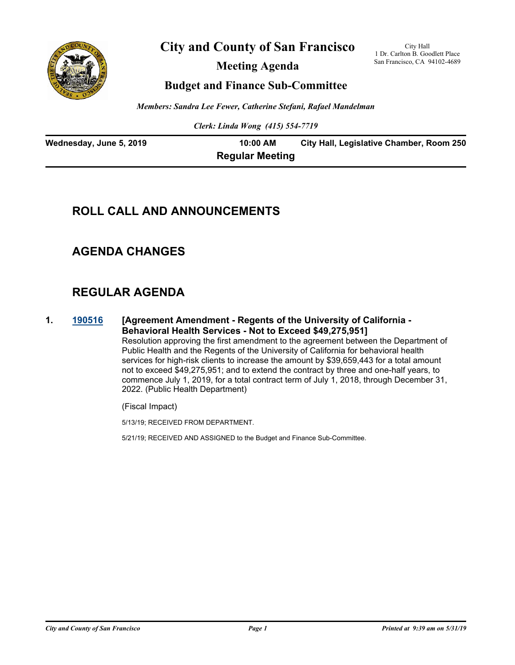

**City and County of San Francisco**

**Meeting Agenda**

City Hall 1 Dr. Carlton B. Goodlett Place San Francisco, CA 94102-4689

# **Budget and Finance Sub-Committee**

*Members: Sandra Lee Fewer, Catherine Stefani, Rafael Mandelman*

*Clerk: Linda Wong (415) 554-7719*

| Wednesday, June 5, 2019 | 10:00 AM               | City Hall, Legislative Chamber, Room 250 |
|-------------------------|------------------------|------------------------------------------|
|                         | <b>Regular Meeting</b> |                                          |

# **ROLL CALL AND ANNOUNCEMENTS**

# **AGENDA CHANGES**

# **REGULAR AGENDA**

**1. [190516](http://sfgov.legistar.com/gateway.aspx?m=l&id=34638) [Agreement Amendment - Regents of the University of California - Behavioral Health Services - Not to Exceed \$49,275,951]** Resolution approving the first amendment to the agreement between the Department of Public Health and the Regents of the University of California for behavioral health services for high-risk clients to increase the amount by \$39,659,443 for a total amount not to exceed \$49,275,951; and to extend the contract by three and one-half years, to commence July 1, 2019, for a total contract term of July 1, 2018, through December 31, 2022. (Public Health Department)

(Fiscal Impact)

5/13/19; RECEIVED FROM DEPARTMENT.

5/21/19; RECEIVED AND ASSIGNED to the Budget and Finance Sub-Committee.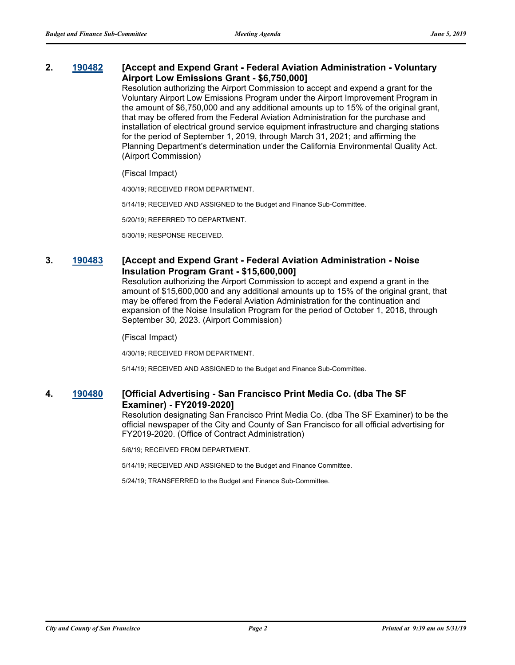# **2. [190482](http://sfgov.legistar.com/gateway.aspx?m=l&id=34604) [Accept and Expend Grant - Federal Aviation Administration - Voluntary Airport Low Emissions Grant - \$6,750,000]**

Resolution authorizing the Airport Commission to accept and expend a grant for the Voluntary Airport Low Emissions Program under the Airport Improvement Program in the amount of \$6,750,000 and any additional amounts up to 15% of the original grant, that may be offered from the Federal Aviation Administration for the purchase and installation of electrical ground service equipment infrastructure and charging stations for the period of September 1, 2019, through March 31, 2021; and affirming the Planning Department's determination under the California Environmental Quality Act. (Airport Commission)

### (Fiscal Impact)

4/30/19; RECEIVED FROM DEPARTMENT.

5/14/19; RECEIVED AND ASSIGNED to the Budget and Finance Sub-Committee.

5/20/19; REFERRED TO DEPARTMENT.

5/30/19; RESPONSE RECEIVED.

# **3. [190483](http://sfgov.legistar.com/gateway.aspx?m=l&id=34605) [Accept and Expend Grant - Federal Aviation Administration - Noise Insulation Program Grant - \$15,600,000]**

Resolution authorizing the Airport Commission to accept and expend a grant in the amount of \$15,600,000 and any additional amounts up to 15% of the original grant, that may be offered from the Federal Aviation Administration for the continuation and expansion of the Noise Insulation Program for the period of October 1, 2018, through September 30, 2023. (Airport Commission)

(Fiscal Impact)

4/30/19; RECEIVED FROM DEPARTMENT.

5/14/19; RECEIVED AND ASSIGNED to the Budget and Finance Sub-Committee.

# **4. [190480](http://sfgov.legistar.com/gateway.aspx?m=l&id=34602) [Official Advertising - San Francisco Print Media Co. (dba The SF Examiner) - FY2019-2020]**

Resolution designating San Francisco Print Media Co. (dba The SF Examiner) to be the official newspaper of the City and County of San Francisco for all official advertising for FY2019-2020. (Office of Contract Administration)

5/6/19; RECEIVED FROM DEPARTMENT.

5/14/19; RECEIVED AND ASSIGNED to the Budget and Finance Committee.

5/24/19; TRANSFERRED to the Budget and Finance Sub-Committee.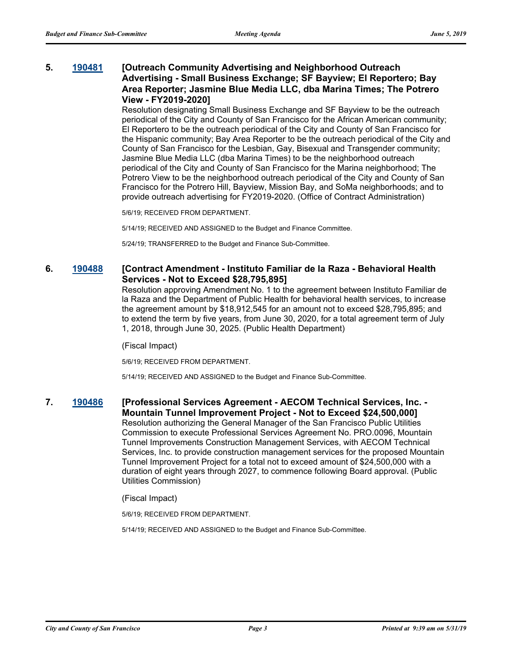# **5. [190481](http://sfgov.legistar.com/gateway.aspx?m=l&id=34603) [Outreach Community Advertising and Neighborhood Outreach Advertising - Small Business Exchange; SF Bayview; El Reportero; Bay Area Reporter; Jasmine Blue Media LLC, dba Marina Times; The Potrero View - FY2019-2020]**

Resolution designating Small Business Exchange and SF Bayview to be the outreach periodical of the City and County of San Francisco for the African American community; El Reportero to be the outreach periodical of the City and County of San Francisco for the Hispanic community; Bay Area Reporter to be the outreach periodical of the City and County of San Francisco for the Lesbian, Gay, Bisexual and Transgender community; Jasmine Blue Media LLC (dba Marina Times) to be the neighborhood outreach periodical of the City and County of San Francisco for the Marina neighborhood; The Potrero View to be the neighborhood outreach periodical of the City and County of San Francisco for the Potrero Hill, Bayview, Mission Bay, and SoMa neighborhoods; and to provide outreach advertising for FY2019-2020. (Office of Contract Administration)

5/6/19; RECEIVED FROM DEPARTMENT.

5/14/19; RECEIVED AND ASSIGNED to the Budget and Finance Committee.

5/24/19; TRANSFERRED to the Budget and Finance Sub-Committee.

# **6. [190488](http://sfgov.legistar.com/gateway.aspx?m=l&id=34610) [Contract Amendment - Instituto Familiar de la Raza - Behavioral Health Services - Not to Exceed \$28,795,895]**

Resolution approving Amendment No. 1 to the agreement between Instituto Familiar de la Raza and the Department of Public Health for behavioral health services, to increase the agreement amount by \$18,912,545 for an amount not to exceed \$28,795,895; and to extend the term by five years, from June 30, 2020, for a total agreement term of July 1, 2018, through June 30, 2025. (Public Health Department)

#### (Fiscal Impact)

5/6/19; RECEIVED FROM DEPARTMENT.

5/14/19; RECEIVED AND ASSIGNED to the Budget and Finance Sub-Committee.

## **7. [190486](http://sfgov.legistar.com/gateway.aspx?m=l&id=34608) [Professional Services Agreement - AECOM Technical Services, Inc. - Mountain Tunnel Improvement Project - Not to Exceed \$24,500,000]**

Resolution authorizing the General Manager of the San Francisco Public Utilities Commission to execute Professional Services Agreement No. PRO.0096, Mountain Tunnel Improvements Construction Management Services, with AECOM Technical Services, Inc. to provide construction management services for the proposed Mountain Tunnel Improvement Project for a total not to exceed amount of \$24,500,000 with a duration of eight years through 2027, to commence following Board approval. (Public Utilities Commission)

(Fiscal Impact)

5/6/19; RECEIVED FROM DEPARTMENT.

5/14/19; RECEIVED AND ASSIGNED to the Budget and Finance Sub-Committee.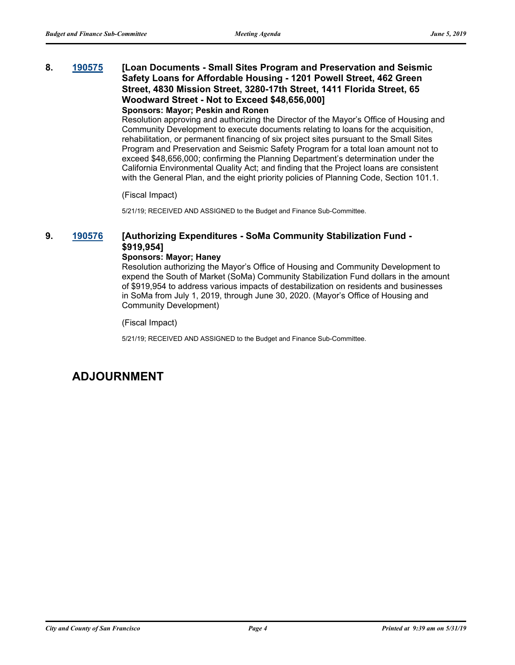# **8. [190575](http://sfgov.legistar.com/gateway.aspx?m=l&id=34697) [Loan Documents - Small Sites Program and Preservation and Seismic Safety Loans for Affordable Housing - 1201 Powell Street, 462 Green Street, 4830 Mission Street, 3280-17th Street, 1411 Florida Street, 65 Woodward Street - Not to Exceed \$48,656,000]**

## **Sponsors: Mayor; Peskin and Ronen**

Resolution approving and authorizing the Director of the Mayor's Office of Housing and Community Development to execute documents relating to loans for the acquisition, rehabilitation, or permanent financing of six project sites pursuant to the Small Sites Program and Preservation and Seismic Safety Program for a total loan amount not to exceed \$48,656,000; confirming the Planning Department's determination under the California Environmental Quality Act; and finding that the Project loans are consistent with the General Plan, and the eight priority policies of Planning Code, Section 101.1.

(Fiscal Impact)

5/21/19; RECEIVED AND ASSIGNED to the Budget and Finance Sub-Committee.

# **9. [190576](http://sfgov.legistar.com/gateway.aspx?m=l&id=34698) [Authorizing Expenditures - SoMa Community Stabilization Fund - \$919,954]**

### **Sponsors: Mayor; Haney**

Resolution authorizing the Mayor's Office of Housing and Community Development to expend the South of Market (SoMa) Community Stabilization Fund dollars in the amount of \$919,954 to address various impacts of destabilization on residents and businesses in SoMa from July 1, 2019, through June 30, 2020. (Mayor's Office of Housing and Community Development)

(Fiscal Impact)

5/21/19; RECEIVED AND ASSIGNED to the Budget and Finance Sub-Committee.

# **ADJOURNMENT**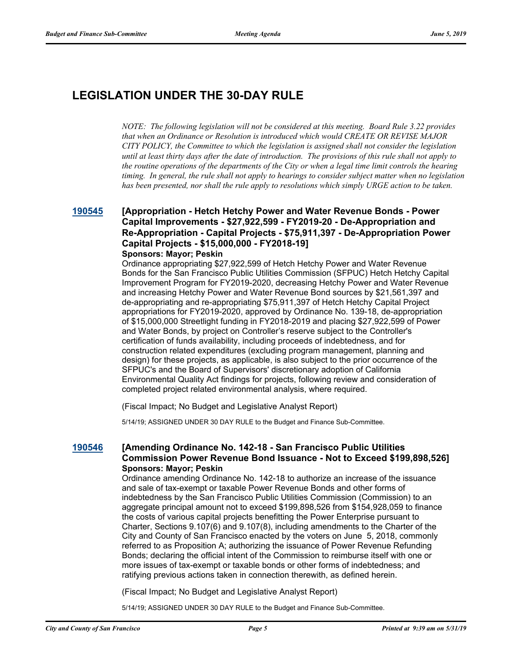# **LEGISLATION UNDER THE 30-DAY RULE**

*NOTE: The following legislation will not be considered at this meeting. Board Rule 3.22 provides that when an Ordinance or Resolution is introduced which would CREATE OR REVISE MAJOR CITY POLICY, the Committee to which the legislation is assigned shall not consider the legislation until at least thirty days after the date of introduction. The provisions of this rule shall not apply to the routine operations of the departments of the City or when a legal time limit controls the hearing timing. In general, the rule shall not apply to hearings to consider subject matter when no legislation has been presented, nor shall the rule apply to resolutions which simply URGE action to be taken.*

## **[190545](http://sfgov.legistar.com/gateway.aspx?m=l&id=34667) [Appropriation - Hetch Hetchy Power and Water Revenue Bonds - Power Capital Improvements - \$27,922,599 - FY2019-20 - De-Appropriation and Re-Appropriation - Capital Projects - \$75,911,397 - De-Appropriation Power Capital Projects - \$15,000,000 - FY2018-19] Sponsors: Mayor; Peskin**

Ordinance appropriating \$27,922,599 of Hetch Hetchy Power and Water Revenue Bonds for the San Francisco Public Utilities Commission (SFPUC) Hetch Hetchy Capital Improvement Program for FY2019-2020, decreasing Hetchy Power and Water Revenue and increasing Hetchy Power and Water Revenue Bond sources by \$21,561,397 and de-appropriating and re-appropriating \$75,911,397 of Hetch Hetchy Capital Project appropriations for FY2019-2020, approved by Ordinance No. 139-18, de-appropriation of \$15,000,000 Streetlight funding in FY2018-2019 and placing \$27,922,599 of Power and Water Bonds, by project on Controller's reserve subject to the Controller's certification of funds availability, including proceeds of indebtedness, and for construction related expenditures (excluding program management, planning and design) for these projects, as applicable, is also subject to the prior occurrence of the SFPUC's and the Board of Supervisors' discretionary adoption of California Environmental Quality Act findings for projects, following review and consideration of completed project related environmental analysis, where required.

(Fiscal Impact; No Budget and Legislative Analyst Report)

5/14/19; ASSIGNED UNDER 30 DAY RULE to the Budget and Finance Sub-Committee.

# **[190546](http://sfgov.legistar.com/gateway.aspx?m=l&id=34668) [Amending Ordinance No. 142-18 - San Francisco Public Utilities Commission Power Revenue Bond Issuance - Not to Exceed \$199,898,526] Sponsors: Mayor; Peskin**

Ordinance amending Ordinance No. 142-18 to authorize an increase of the issuance and sale of tax-exempt or taxable Power Revenue Bonds and other forms of indebtedness by the San Francisco Public Utilities Commission (Commission) to an aggregate principal amount not to exceed \$199,898,526 from \$154,928,059 to finance the costs of various capital projects benefitting the Power Enterprise pursuant to Charter, Sections 9.107(6) and 9.107(8), including amendments to the Charter of the City and County of San Francisco enacted by the voters on June 5, 2018, commonly referred to as Proposition A; authorizing the issuance of Power Revenue Refunding Bonds; declaring the official intent of the Commission to reimburse itself with one or more issues of tax-exempt or taxable bonds or other forms of indebtedness; and ratifying previous actions taken in connection therewith, as defined herein.

(Fiscal Impact; No Budget and Legislative Analyst Report)

5/14/19; ASSIGNED UNDER 30 DAY RULE to the Budget and Finance Sub-Committee.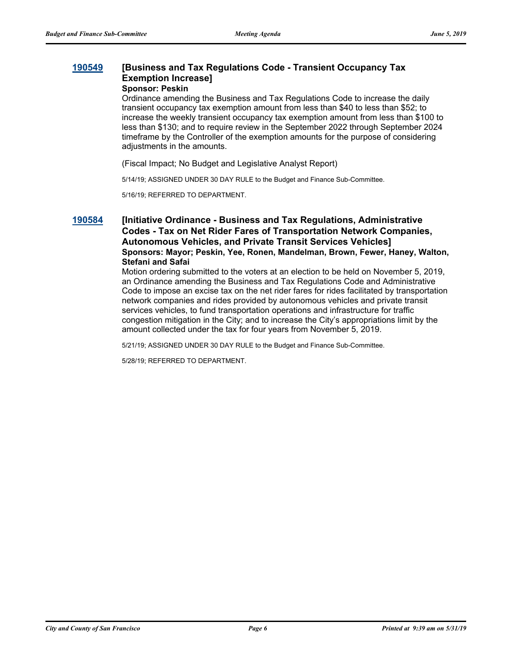## **[190549](http://sfgov.legistar.com/gateway.aspx?m=l&id=34671) [Business and Tax Regulations Code - Transient Occupancy Tax Exemption Increase] Sponsor: Peskin**

Ordinance amending the Business and Tax Regulations Code to increase the daily transient occupancy tax exemption amount from less than \$40 to less than \$52; to increase the weekly transient occupancy tax exemption amount from less than \$100 to less than \$130; and to require review in the September 2022 through September 2024 timeframe by the Controller of the exemption amounts for the purpose of considering adjustments in the amounts.

(Fiscal Impact; No Budget and Legislative Analyst Report)

5/14/19; ASSIGNED UNDER 30 DAY RULE to the Budget and Finance Sub-Committee.

5/16/19; REFERRED TO DEPARTMENT.

**[190584](http://sfgov.legistar.com/gateway.aspx?m=l&id=34706) [Initiative Ordinance - Business and Tax Regulations, Administrative Codes - Tax on Net Rider Fares of Transportation Network Companies, Autonomous Vehicles, and Private Transit Services Vehicles] Sponsors: Mayor; Peskin, Yee, Ronen, Mandelman, Brown, Fewer, Haney, Walton, Stefani and Safai**

> Motion ordering submitted to the voters at an election to be held on November 5, 2019, an Ordinance amending the Business and Tax Regulations Code and Administrative Code to impose an excise tax on the net rider fares for rides facilitated by transportation network companies and rides provided by autonomous vehicles and private transit services vehicles, to fund transportation operations and infrastructure for traffic congestion mitigation in the City; and to increase the City's appropriations limit by the amount collected under the tax for four years from November 5, 2019.

5/21/19; ASSIGNED UNDER 30 DAY RULE to the Budget and Finance Sub-Committee.

5/28/19; REFERRED TO DEPARTMENT.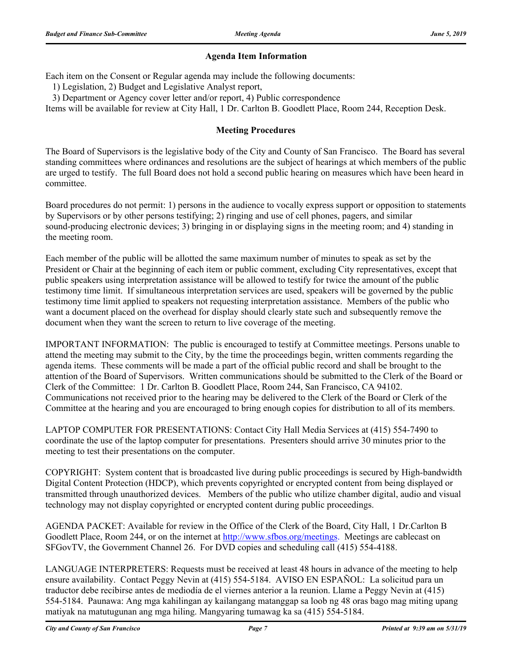# **Agenda Item Information**

Each item on the Consent or Regular agenda may include the following documents:

1) Legislation, 2) Budget and Legislative Analyst report,

3) Department or Agency cover letter and/or report, 4) Public correspondence

Items will be available for review at City Hall, 1 Dr. Carlton B. Goodlett Place, Room 244, Reception Desk.

# **Meeting Procedures**

The Board of Supervisors is the legislative body of the City and County of San Francisco. The Board has several standing committees where ordinances and resolutions are the subject of hearings at which members of the public are urged to testify. The full Board does not hold a second public hearing on measures which have been heard in committee.

Board procedures do not permit: 1) persons in the audience to vocally express support or opposition to statements by Supervisors or by other persons testifying; 2) ringing and use of cell phones, pagers, and similar sound-producing electronic devices; 3) bringing in or displaying signs in the meeting room; and 4) standing in the meeting room.

Each member of the public will be allotted the same maximum number of minutes to speak as set by the President or Chair at the beginning of each item or public comment, excluding City representatives, except that public speakers using interpretation assistance will be allowed to testify for twice the amount of the public testimony time limit. If simultaneous interpretation services are used, speakers will be governed by the public testimony time limit applied to speakers not requesting interpretation assistance. Members of the public who want a document placed on the overhead for display should clearly state such and subsequently remove the document when they want the screen to return to live coverage of the meeting.

IMPORTANT INFORMATION: The public is encouraged to testify at Committee meetings. Persons unable to attend the meeting may submit to the City, by the time the proceedings begin, written comments regarding the agenda items. These comments will be made a part of the official public record and shall be brought to the attention of the Board of Supervisors. Written communications should be submitted to the Clerk of the Board or Clerk of the Committee: 1 Dr. Carlton B. Goodlett Place, Room 244, San Francisco, CA 94102. Communications not received prior to the hearing may be delivered to the Clerk of the Board or Clerk of the Committee at the hearing and you are encouraged to bring enough copies for distribution to all of its members.

LAPTOP COMPUTER FOR PRESENTATIONS: Contact City Hall Media Services at (415) 554-7490 to coordinate the use of the laptop computer for presentations. Presenters should arrive 30 minutes prior to the meeting to test their presentations on the computer.

COPYRIGHT: System content that is broadcasted live during public proceedings is secured by High-bandwidth Digital Content Protection (HDCP), which prevents copyrighted or encrypted content from being displayed or transmitted through unauthorized devices. Members of the public who utilize chamber digital, audio and visual technology may not display copyrighted or encrypted content during public proceedings.

AGENDA PACKET: Available for review in the Office of the Clerk of the Board, City Hall, 1 Dr.Carlton B Goodlett Place, Room 244, or on the internet at http://www.sfbos.org/meetings. Meetings are cablecast on SFGovTV, the Government Channel 26. For DVD copies and scheduling call (415) 554-4188.

LANGUAGE INTERPRETERS: Requests must be received at least 48 hours in advance of the meeting to help ensure availability. Contact Peggy Nevin at (415) 554-5184. AVISO EN ESPAÑOL: La solicitud para un traductor debe recibirse antes de mediodía de el viernes anterior a la reunion. Llame a Peggy Nevin at (415) 554-5184. Paunawa: Ang mga kahilingan ay kailangang matanggap sa loob ng 48 oras bago mag miting upang matiyak na matutugunan ang mga hiling. Mangyaring tumawag ka sa (415) 554-5184.